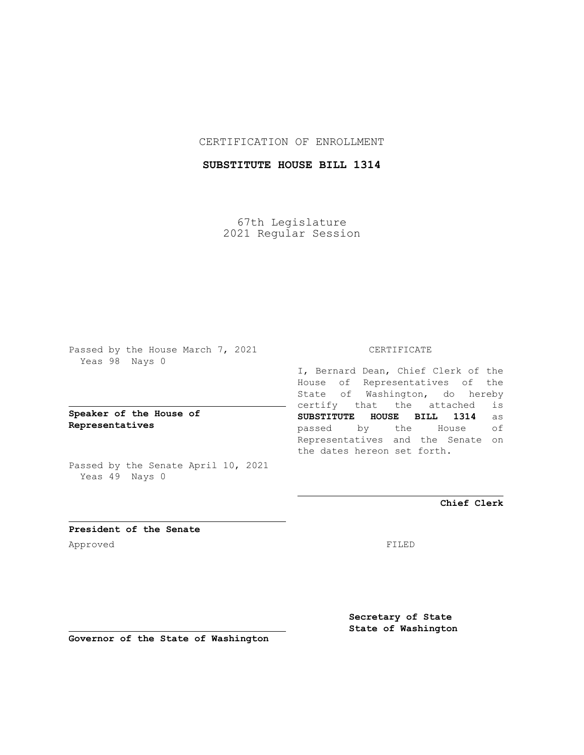# CERTIFICATION OF ENROLLMENT

# **SUBSTITUTE HOUSE BILL 1314**

67th Legislature 2021 Regular Session

Passed by the House March 7, 2021 Yeas 98 Nays 0

# **Speaker of the House of Representatives**

Passed by the Senate April 10, 2021 Yeas 49 Nays 0

### CERTIFICATE

I, Bernard Dean, Chief Clerk of the House of Representatives of the State of Washington, do hereby certify that the attached is **SUBSTITUTE HOUSE BILL 1314** as passed by the House of Representatives and the Senate on the dates hereon set forth.

**Chief Clerk**

**President of the Senate** Approved FILED

**Secretary of State State of Washington**

**Governor of the State of Washington**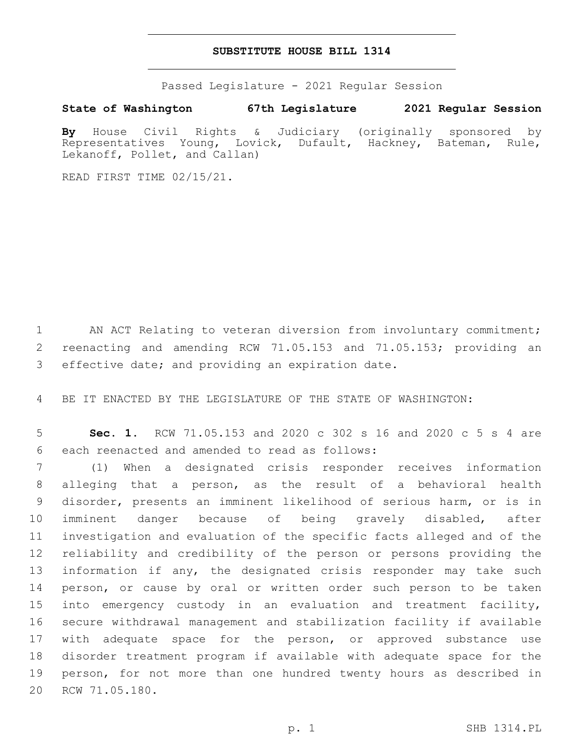#### **SUBSTITUTE HOUSE BILL 1314**

Passed Legislature - 2021 Regular Session

### **State of Washington 67th Legislature 2021 Regular Session**

**By** House Civil Rights & Judiciary (originally sponsored by Representatives Young, Lovick, Dufault, Hackney, Bateman, Rule, Lekanoff, Pollet, and Callan)

READ FIRST TIME 02/15/21.

1 AN ACT Relating to veteran diversion from involuntary commitment; 2 reenacting and amending RCW 71.05.153 and 71.05.153; providing an 3 effective date; and providing an expiration date.

4 BE IT ENACTED BY THE LEGISLATURE OF THE STATE OF WASHINGTON:

5 **Sec. 1.** RCW 71.05.153 and 2020 c 302 s 16 and 2020 c 5 s 4 are 6 each reenacted and amended to read as follows:

 (1) When a designated crisis responder receives information alleging that a person, as the result of a behavioral health disorder, presents an imminent likelihood of serious harm, or is in imminent danger because of being gravely disabled, after investigation and evaluation of the specific facts alleged and of the reliability and credibility of the person or persons providing the information if any, the designated crisis responder may take such person, or cause by oral or written order such person to be taken into emergency custody in an evaluation and treatment facility, secure withdrawal management and stabilization facility if available 17 with adequate space for the person, or approved substance use disorder treatment program if available with adequate space for the person, for not more than one hundred twenty hours as described in 20 RCW 71.05.180.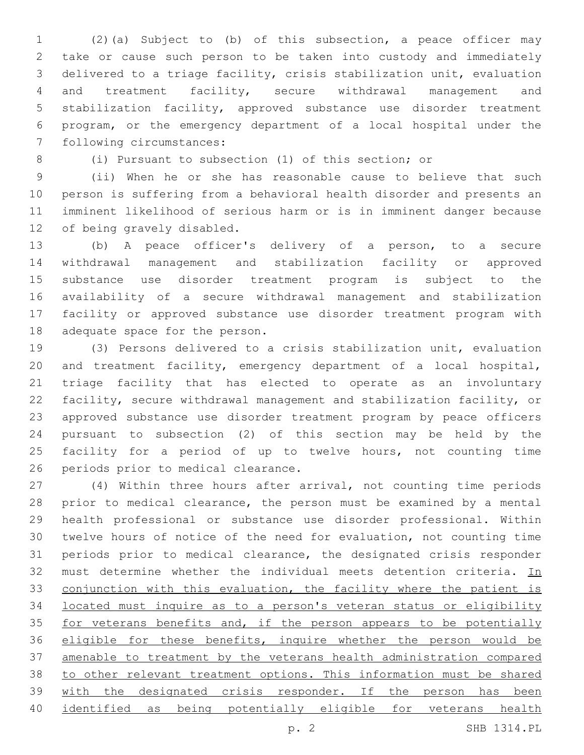(2)(a) Subject to (b) of this subsection, a peace officer may take or cause such person to be taken into custody and immediately delivered to a triage facility, crisis stabilization unit, evaluation and treatment facility, secure withdrawal management and stabilization facility, approved substance use disorder treatment program, or the emergency department of a local hospital under the 7 following circumstances:

(i) Pursuant to subsection (1) of this section; or

 (ii) When he or she has reasonable cause to believe that such person is suffering from a behavioral health disorder and presents an imminent likelihood of serious harm or is in imminent danger because 12 of being gravely disabled.

 (b) A peace officer's delivery of a person, to a secure withdrawal management and stabilization facility or approved substance use disorder treatment program is subject to the availability of a secure withdrawal management and stabilization facility or approved substance use disorder treatment program with 18 adequate space for the person.

 (3) Persons delivered to a crisis stabilization unit, evaluation and treatment facility, emergency department of a local hospital, triage facility that has elected to operate as an involuntary facility, secure withdrawal management and stabilization facility, or approved substance use disorder treatment program by peace officers pursuant to subsection (2) of this section may be held by the facility for a period of up to twelve hours, not counting time 26 periods prior to medical clearance.

 (4) Within three hours after arrival, not counting time periods prior to medical clearance, the person must be examined by a mental health professional or substance use disorder professional. Within twelve hours of notice of the need for evaluation, not counting time periods prior to medical clearance, the designated crisis responder 32 must determine whether the individual meets detention criteria. In 33 conjunction with this evaluation, the facility where the patient is located must inquire as to a person's veteran status or eligibility 35 for veterans benefits and, if the person appears to be potentially 36 eligible for these benefits, inquire whether the person would be amenable to treatment by the veterans health administration compared to other relevant treatment options. This information must be shared 39 with the designated crisis responder. If the person has been identified as being potentially eligible for veterans health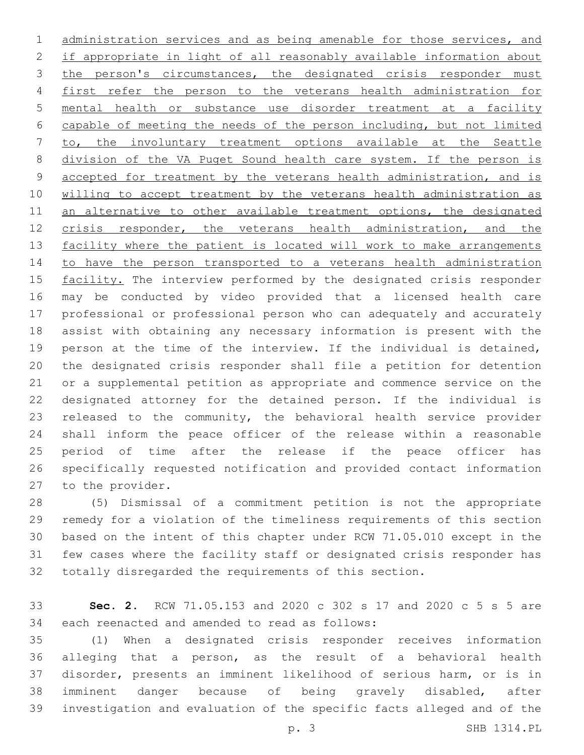administration services and as being amenable for those services, and if appropriate in light of all reasonably available information about 3 the person's circumstances, the designated crisis responder must first refer the person to the veterans health administration for mental health or substance use disorder treatment at a facility capable of meeting the needs of the person including, but not limited to, the involuntary treatment options available at the Seattle division of the VA Puget Sound health care system. If the person is 9 accepted for treatment by the veterans health administration, and is willing to accept treatment by the veterans health administration as 11 an alternative to other available treatment options, the designated 12 crisis responder, the veterans health administration, and the 13 facility where the patient is located will work to make arrangements to have the person transported to a veterans health administration 15 facility. The interview performed by the designated crisis responder may be conducted by video provided that a licensed health care professional or professional person who can adequately and accurately assist with obtaining any necessary information is present with the person at the time of the interview. If the individual is detained, the designated crisis responder shall file a petition for detention or a supplemental petition as appropriate and commence service on the designated attorney for the detained person. If the individual is released to the community, the behavioral health service provider shall inform the peace officer of the release within a reasonable period of time after the release if the peace officer has specifically requested notification and provided contact information 27 to the provider.

 (5) Dismissal of a commitment petition is not the appropriate remedy for a violation of the timeliness requirements of this section based on the intent of this chapter under RCW 71.05.010 except in the few cases where the facility staff or designated crisis responder has totally disregarded the requirements of this section.

 **Sec. 2.** RCW 71.05.153 and 2020 c 302 s 17 and 2020 c 5 s 5 are 34 each reenacted and amended to read as follows:

 (1) When a designated crisis responder receives information alleging that a person, as the result of a behavioral health disorder, presents an imminent likelihood of serious harm, or is in imminent danger because of being gravely disabled, after investigation and evaluation of the specific facts alleged and of the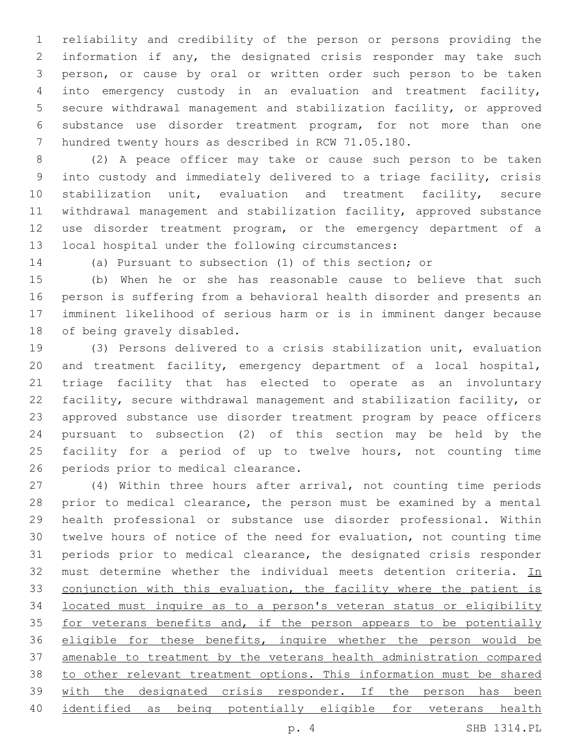reliability and credibility of the person or persons providing the information if any, the designated crisis responder may take such person, or cause by oral or written order such person to be taken into emergency custody in an evaluation and treatment facility, secure withdrawal management and stabilization facility, or approved substance use disorder treatment program, for not more than one hundred twenty hours as described in RCW 71.05.180.

 (2) A peace officer may take or cause such person to be taken into custody and immediately delivered to a triage facility, crisis stabilization unit, evaluation and treatment facility, secure withdrawal management and stabilization facility, approved substance use disorder treatment program, or the emergency department of a 13 local hospital under the following circumstances:

(a) Pursuant to subsection (1) of this section; or

 (b) When he or she has reasonable cause to believe that such person is suffering from a behavioral health disorder and presents an imminent likelihood of serious harm or is in imminent danger because 18 of being gravely disabled.

 (3) Persons delivered to a crisis stabilization unit, evaluation and treatment facility, emergency department of a local hospital, triage facility that has elected to operate as an involuntary facility, secure withdrawal management and stabilization facility, or approved substance use disorder treatment program by peace officers pursuant to subsection (2) of this section may be held by the facility for a period of up to twelve hours, not counting time 26 periods prior to medical clearance.

 (4) Within three hours after arrival, not counting time periods prior to medical clearance, the person must be examined by a mental health professional or substance use disorder professional. Within twelve hours of notice of the need for evaluation, not counting time periods prior to medical clearance, the designated crisis responder 32 must determine whether the individual meets detention criteria. In 33 conjunction with this evaluation, the facility where the patient is located must inquire as to a person's veteran status or eligibility 35 for veterans benefits and, if the person appears to be potentially 36 eligible for these benefits, inquire whether the person would be amenable to treatment by the veterans health administration compared to other relevant treatment options. This information must be shared 39 with the designated crisis responder. If the person has been identified as being potentially eligible for veterans health